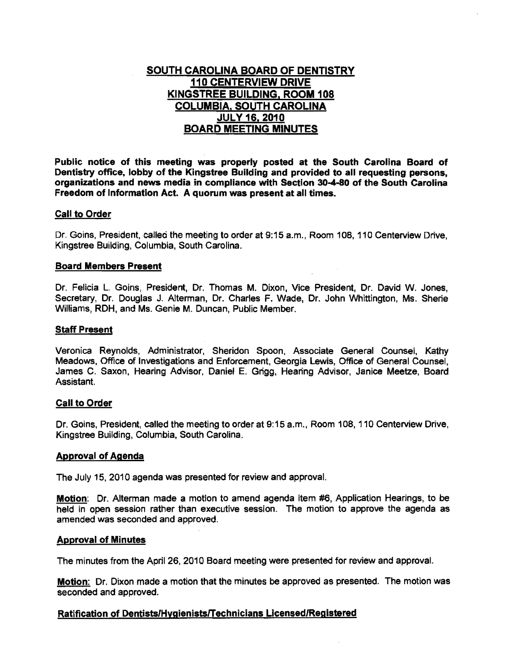# SOUTH CAROLINA BOARD OF DENTISTRY 110 CENTERVIEW DRIVE KINGSTREE BUILDING. ROOM 108 COLUMBIA, SOUTH CAROLINA JULY 16. 2010 BOARD MEETING MINUTES

Public notice of this meeting was properly posted at the South Carolina Board of Dentistry office, lobby of the Kingstree Building and provided to all requesting persons. organizations and news media in compliance with SectIon 30-4-80 of the South Carolina Freedom of Information Act. A quorum was present at all times.

# Call to Order

Dr. Goins, President, calleo the meeting to order at 9;15 a.m., Room 108, 110 Centerview Drive, Kingstree Building, Columbia, South Carolina.

### Board Members Present

Dr. Felicia L. Goins, President, Dr. Thomas M. Dixon, Vice President, Dr. David W. Jones, Secretary, Dr. Douglas J. Alterman, Dr. Charles F. Wade, Dr. John Whittington, Ms. Sherie Williams, RDH, and Ms. Genie M. Duncan, Public Member.

# Staff Present

Veronica Reynolds, Administrator, Sheridon Spoon, Associate General Counsel, Kathy Meadows, Office of Investigations and Enforcement, Georgia Lewis, Office of General Counsel, James C. Saxon, Hearing Advisor, Daniel E. Grigg, Hearing Advisor, Janice Meetze, Board Assistant.

### Call to Order

Dr. GOins, President, called the meeting to order at 9:15 a.m., Room 108,110 Centerview Drive, Kingstree Building, COlumbia, South Carolina.

### Approval of Agenda

The July 15, 2010 agenda was presented for review and approval.

Motion: Dr. Alterman made a motion to amend agenda item #6, Application Hearings, to be held in open session rather than executive session. The motion to approve the agenda as amended was seconded and approved.

### Approval of Minutes

The minutes from the April 26, 2010 Board meeting were presented for review and approval.

Motion: Dr. Dixon made a motion that the minutes be approved as presented. The motion was seconded and approved.

# Ratification of Dentists/HvaienistslTechnicians Licensed/Registered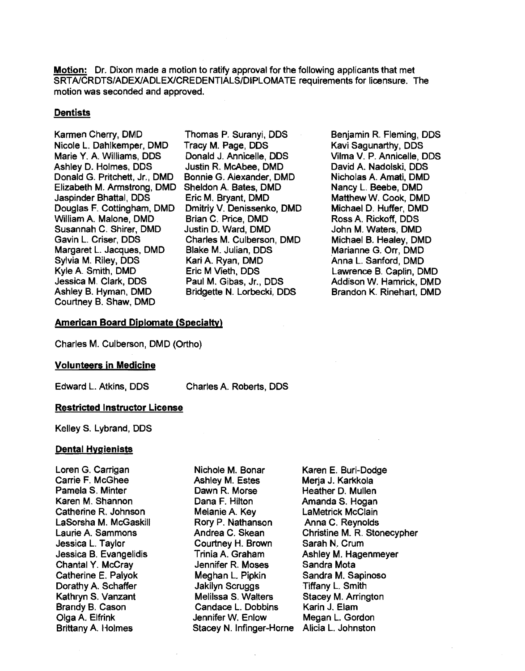**Motion:** Dr. Dixon made a motion to ratify approval for the following applicants that met SRT AlCRDTS/ADEXlADLEXlCREDENTIALS/DIPLOMATE requirements for licensure. The motion was seconded and approved.

# **Dentists**

Karmen Cherry, DMD Nicole L. Dahlkemper, DMD Marie Y. A. Williams, DDS Ashley D. Holmes, DDS Donald G. Pritchett, Jr., DMD Elizabeth M. Armstrong, DMD Jaspinder Bhattal, DDS Douglas F. Cottingham, DMD William A. Malone, DMD Susannah C. Shirer, DMD Gavin L. Criser, DDS Margaret L. Jacques, DMD Sylvia M. Riley, DDS Kyle A Smith. DMD Jessica M. Clark, DDS Ashley B. Hyman, DMD Courtney B. Shaw, DMD

- Thomas P. Suranyi, DDS Tracy M. Page, DDS Donald J. Annicelie, DDS Justin R. McAbee, DMD Bonnie G. Alexander, DMD Sheldon A. Bates, DMD Eric M. Bryant, DMD Dmitriy V. Denissenko, DMO Brian C. Price, DMD Justin D. Ward, DMD Charles M. Culberson, DMD Blake M. Julian, DDS Kari A. Ryan, DMD Eric M Vieth, DDS Paul M. Gibas, Jr., DOS Bridgette N. Lorbecki, DDS
- Benjamin R. Fleming, DDS Kavi Sagunarthy, DDS Vilma V. P. Annicelie, DDS David A. Nadolski, DDS Nicholas A. Amati, DMD Nancy L. Beebe, DMD Matthew W. Cook, DMD Michael D. Huffer, DMD Ross A. Rickoff, DDS John M. Waters, DMD Michael B. Healey, DMD Marianne G. Orr, DMO Anna L. Sanford, DMD Lawrence B. Caplin, DMD Addison W. Hamrick, DMD Brandon K. Rinehart, DMD

### American Board Diplomate (Specialty)

Charles M. Culberson, DMD (Ortho)

#### Volunteers in Medicine

Edward L. Atkins, DDS

Charles A. Roberts, DDS

### Restricted Instructor License

Kelley S. Lybrand, ODS

#### Dental Hygienists

Loren G. Carrigan Carrie F. McGhee Pamela S. Minter Karen M. Shannon Catherine R. Johnson LaSorsha M. McGaskili Laurie A. Sammons Jessica L. Taylor Jessica B. Evangelidis Chantal Y. McCray Catherine E. Palyok Dorathy A. Schaffer Kathryn S. Vanzant Brandy B. Cason Olga A. Elfrink Brittany A. Holmes

Nichole M. Bonar Ashley M. Estes Dawn R. Morse Dana F. Hilton Melanie A. Key Rory P. Nathanson Andrea C. Skean Courtney H. Brown Trinia A. Graham Jennifer R. Moses Meghan L Pipkin Jakilyn Scruggs Melilssa S. Walters Candace L. Dobbins Jennifer W. Enlow Stacey N. Infinger-Horne

Karen E. Buri-Dodge Merja J. Karkkola Heather D. Mullen Amanda S. Hogan LaMetrick McClain Anna C. Reynolds Christine M. R. Stonecypher Sarah N. Crum Ashley M. Hagenmeyer Sandra Mota Sandra M. Sapinoso Tiffany L. Smith Stacey M. Arrington Karin J. Elam Megan L. Gordon Alicia L. Johnston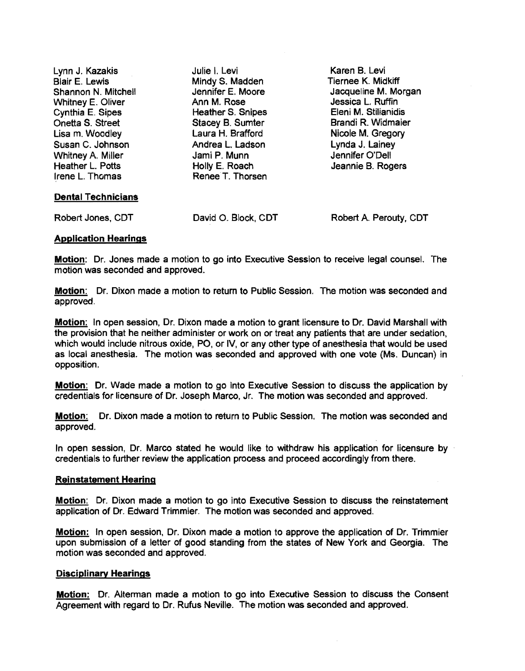Lynn J. Kazakis Julie I. Levi Karen B. Levi Blair E. Lewis Mindy S. Madden Shannon N. Mitchell Jennifer E. Moore Jacqueline M. Morgan <br>Whitney E. Oliver Ann M. Rose Jessica L. Ruffin Whitney E. Oliver Ann M. Rose Jessica L. Ruffin Cynthia E. Sipes **Elenis M. Stillianidisc Heather S. Snipes** Onetta S. Street Stacey B. Sumter Brandi R. Widmaier Lisa m. Woodley **Laura H. Brafford Nicole M. Gregory Laura H. Brafford** Nicole M. Gregory Susan C. Johnson Andrea L. Ladson Lynda J. Lainey Whitney A. Miller Jami P. Munn Jennifer O'Dell Heather L. Potts Holly E. Roach Jeannie B. Rogers Renee T. Thorsen Dental Technicians

Robert Jones, COT David O. Block, COT Robert A Perouty, COT

# Application Hearings

Motion: Dr. Jones made a motion to go into Executive Session to receive legal counsel. The motion was seconded and approved.

Motion: Dr. Dixon made a motion to retum to Public Session. The motion was seconded and approved.

Motion: In open session, Dr. Dixon made a motion to grant licensure to Dr. David Marshall with the provision that he neither administer or work on or treat any patients that are under sedation, which would include nitrous oxide, PO, or IV, or any other type of anesthesia that would be used as local anesthesia. The motion was seconded and approved with one vote (Ms. Duncan) in opposition.

Motion: Dr. Wade made a motion to go into EXecutive Session to discuss the application by credentials for licensure of Dr. Joseph Marco. Jr. The motion was seconded and approved.

Motion: Dr. Dixon made a motion to return to Public Session. The motion was seconded and approved.

In open session, Dr. Marco stated he would like to withdraw his application for licensure by credentials to further review the application process and proceed accordingly from there.

# Reinstatement Hearing

Motion: Dr. Dixon made a motion to go into Executive Session to discuss the reinstatement application of Dr. Edward Trimmier. The motion was seconded and approved.

Motion: In open session, Dr. Dixon made a motion to approve the application of Dr. Trimmier upon submission of a letter of good standing from the states of New York and Georgia. The motion was seconded and approved.

### Disciplinary Hearings

**Motion:** Dr. Alterman made a motion to go into Executive Session to discuss the Consent Agreement with regard to Dr. Rufus Neville. The motion was seconded and approved.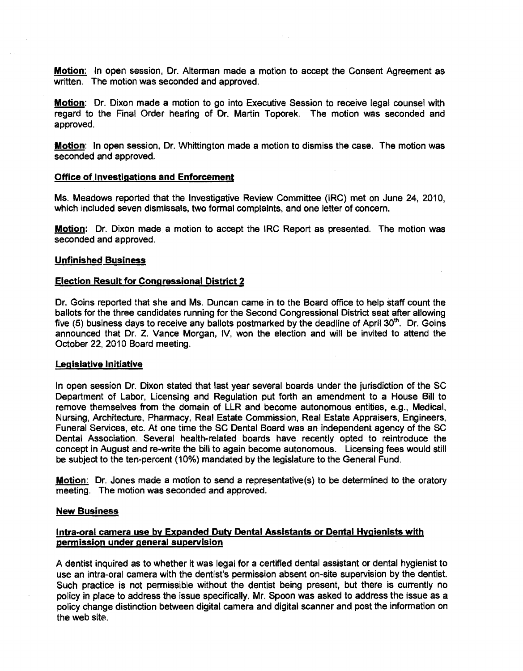Motion: In open session, Dr. Alterman made a motion to accept the Consent Agreement as written. The motion was seconded and approved.

**Motion:** Dr. Dixon made a motion to go into Executive Session to receive legal counsel with regard to the Final Order hearing of Dr. Martin Toporek. The motion was seconded and approved.

**Motion:** In open session, Dr. Whittington made a motion to dismiss the case. The motion was seconded and approved.

#### Office of Investigations and Enforcement

Ms. Meadows reported that the Investigative Review Committee (IRC) met on June 24, 2010, which included seven dismissals, two formal complaints, and one letter of concern.

Motion: Dr. Dixon made a motion to accept the IRC Report as presented. The motion was seconded and approved.

#### Unfinished Business

#### Election Result for Congressional District 2

Dr. Goins reported that she and Ms. Duncan came in to the Board office to help staff count the ballots for the three candidates running for the Second Congressional District seat after allowing five (5) business days to receive any ballots postmarked by the deadline of April  $30<sup>th</sup>$ . Dr. Goins announced that Or. Z. Vance Morgan, IV, won the election and will be invited to attend the October 22,2010 Board meeting.

#### Legislative Initiative

In open session Or. Dixon stated that last year several boards under the jurisdiction of the SC Department of Labor, Licensing and Regulation put forth an amendment to a House Bill to remove themselves from the domain of LLR and become autonomous entities, e.g., Medical, Nursing, Architecture, Pharmacy, Real Estate Commission, Real Estate Appraisers, Engineers, Funeral Services, etc. At one time the SC Dental Board was an independent agency of the SC Dental Association. Several health-related boards have recently opted to reintroduce the concept in August and re-write the bill to again become autonomous. Licensing fees would still be subject to the ten-percent (10%) mandated by the legislature to the General Fund.

Motion: Dr. Jones made a motion to send a representative(s) to be determined to the oratory meeting. The motion was seconded and approved.

#### New Business

# lntra-oral camera use by Expanded Duty Dental Assistants or Dental Hygienists with permission under general supervision

A dentist inquired as to whether it was legal for a certified dental assistant or dental hygienist to use an intra-oral camera with the dentist's permission absent on-site supervision by the dentist. Such practice is not permissible without the dentist being present, but there is currently no policy in place to address the issue specifically. Mr. Spoon was asked to address the issue as a policy change distinction between digital camera and digital scanner and post the information on the web site.